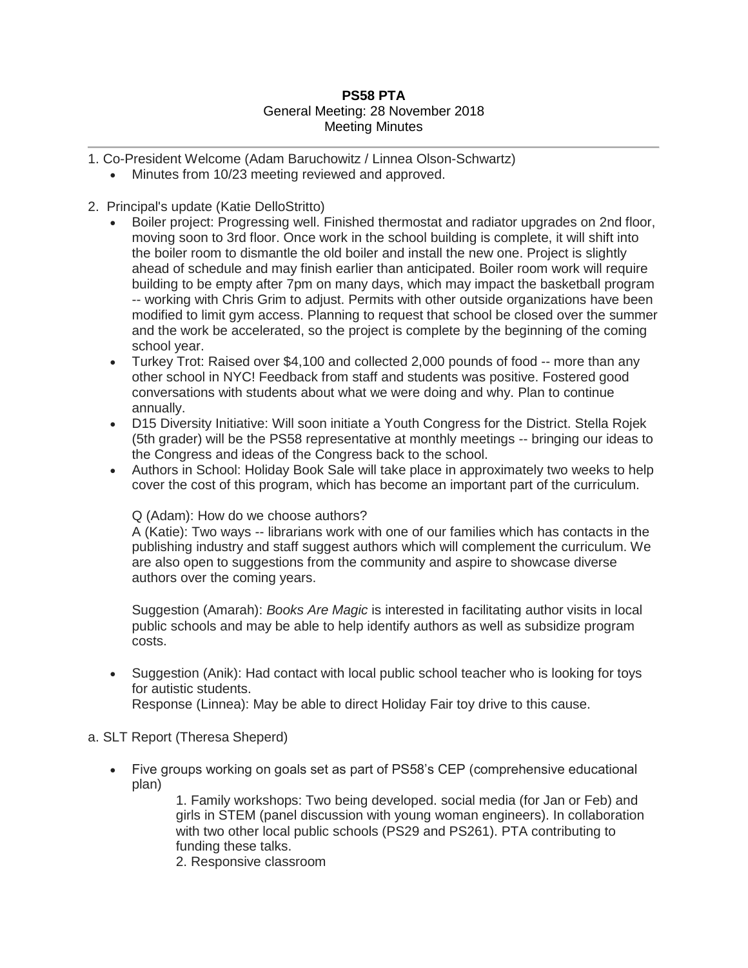## **PS58 PTA** General Meeting: 28 November 2018 Meeting Minutes

- 1. Co-President Welcome (Adam Baruchowitz / Linnea Olson-Schwartz)
	- Minutes from 10/23 meeting reviewed and approved.

## 2. Principal's update (Katie DelloStritto)

- Boiler project: Progressing well. Finished thermostat and radiator upgrades on 2nd floor, moving soon to 3rd floor. Once work in the school building is complete, it will shift into the boiler room to dismantle the old boiler and install the new one. Project is slightly ahead of schedule and may finish earlier than anticipated. Boiler room work will require building to be empty after 7pm on many days, which may impact the basketball program -- working with Chris Grim to adjust. Permits with other outside organizations have been modified to limit gym access. Planning to request that school be closed over the summer and the work be accelerated, so the project is complete by the beginning of the coming school year.
- Turkey Trot: Raised over \$4,100 and collected 2,000 pounds of food -- more than any other school in NYC! Feedback from staff and students was positive. Fostered good conversations with students about what we were doing and why. Plan to continue annually.
- D15 Diversity Initiative: Will soon initiate a Youth Congress for the District. Stella Rojek (5th grader) will be the PS58 representative at monthly meetings -- bringing our ideas to the Congress and ideas of the Congress back to the school.
- Authors in School: Holiday Book Sale will take place in approximately two weeks to help cover the cost of this program, which has become an important part of the curriculum.

#### Q (Adam): How do we choose authors?

A (Katie): Two ways -- librarians work with one of our families which has contacts in the publishing industry and staff suggest authors which will complement the curriculum. We are also open to suggestions from the community and aspire to showcase diverse authors over the coming years.

Suggestion (Amarah): *Books Are Magic* is interested in facilitating author visits in local public schools and may be able to help identify authors as well as subsidize program costs.

 Suggestion (Anik): Had contact with local public school teacher who is looking for toys for autistic students.

Response (Linnea): May be able to direct Holiday Fair toy drive to this cause.

#### a. SLT Report (Theresa Sheperd)

 Five groups working on goals set as part of PS58's CEP (comprehensive educational plan)

> 1. Family workshops: Two being developed. social media (for Jan or Feb) and girls in STEM (panel discussion with young woman engineers). In collaboration with two other local public schools (PS29 and PS261). PTA contributing to funding these talks.

2. Responsive classroom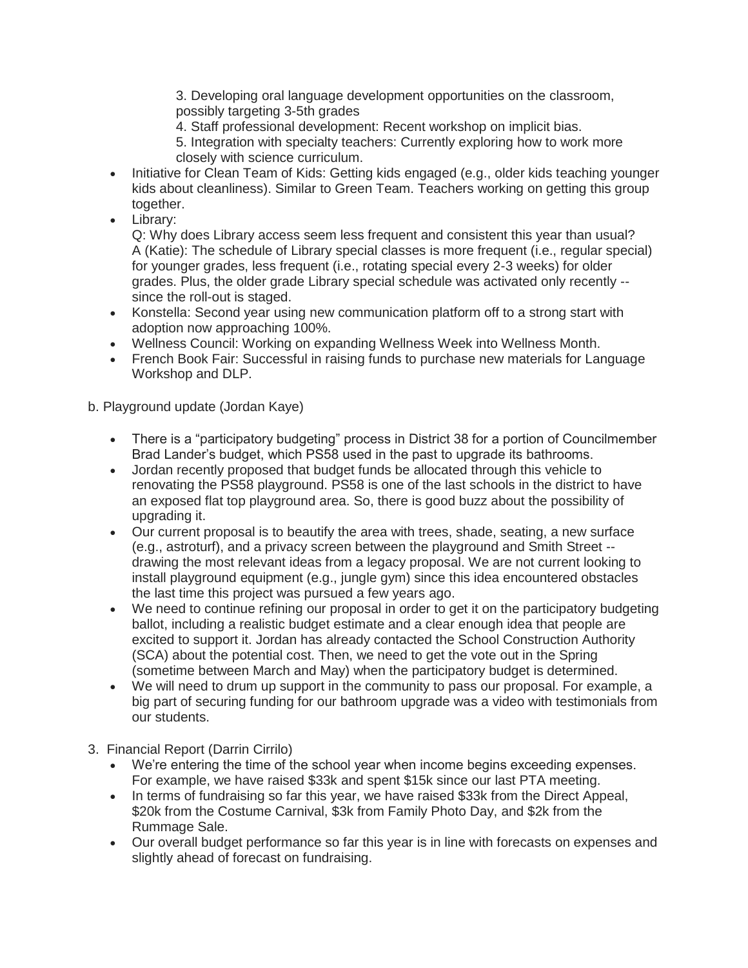3. Developing oral language development opportunities on the classroom, possibly targeting 3-5th grades

4. Staff professional development: Recent workshop on implicit bias.

5. Integration with specialty teachers: Currently exploring how to work more closely with science curriculum.

- Initiative for Clean Team of Kids: Getting kids engaged (e.g., older kids teaching younger kids about cleanliness). Similar to Green Team. Teachers working on getting this group together.
- Library:

Q: Why does Library access seem less frequent and consistent this year than usual? A (Katie): The schedule of Library special classes is more frequent (i.e., regular special) for younger grades, less frequent (i.e., rotating special every 2-3 weeks) for older grades. Plus, the older grade Library special schedule was activated only recently - since the roll-out is staged.

- Konstella: Second year using new communication platform off to a strong start with adoption now approaching 100%.
- Wellness Council: Working on expanding Wellness Week into Wellness Month.
- French Book Fair: Successful in raising funds to purchase new materials for Language Workshop and DLP.

# b. Playground update (Jordan Kaye)

- There is a "participatory budgeting" process in District 38 for a portion of Councilmember Brad Lander's budget, which PS58 used in the past to upgrade its bathrooms.
- Jordan recently proposed that budget funds be allocated through this vehicle to renovating the PS58 playground. PS58 is one of the last schools in the district to have an exposed flat top playground area. So, there is good buzz about the possibility of upgrading it.
- Our current proposal is to beautify the area with trees, shade, seating, a new surface (e.g., astroturf), and a privacy screen between the playground and Smith Street - drawing the most relevant ideas from a legacy proposal. We are not current looking to install playground equipment (e.g., jungle gym) since this idea encountered obstacles the last time this project was pursued a few years ago.
- We need to continue refining our proposal in order to get it on the participatory budgeting ballot, including a realistic budget estimate and a clear enough idea that people are excited to support it. Jordan has already contacted the School Construction Authority (SCA) about the potential cost. Then, we need to get the vote out in the Spring (sometime between March and May) when the participatory budget is determined.
- We will need to drum up support in the community to pass our proposal. For example, a big part of securing funding for our bathroom upgrade was a video with testimonials from our students.
- 3. Financial Report (Darrin Cirrilo)
	- We're entering the time of the school year when income begins exceeding expenses. For example, we have raised \$33k and spent \$15k since our last PTA meeting.
	- In terms of fundraising so far this year, we have raised \$33k from the Direct Appeal, \$20k from the Costume Carnival, \$3k from Family Photo Day, and \$2k from the Rummage Sale.
	- Our overall budget performance so far this year is in line with forecasts on expenses and slightly ahead of forecast on fundraising.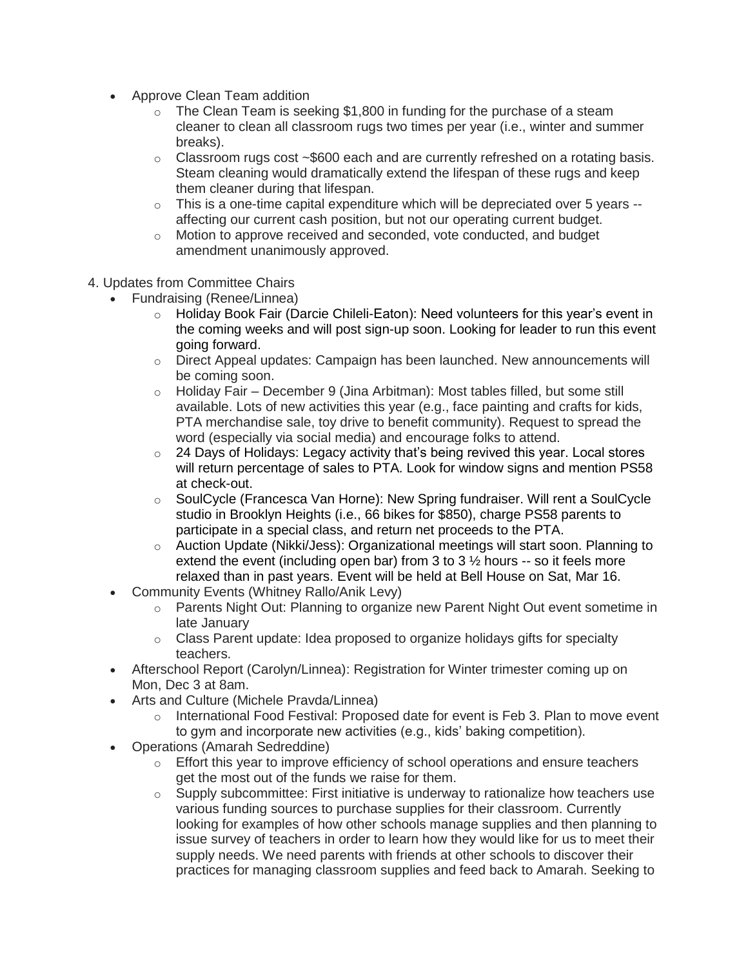- Approve Clean Team addition
	- $\circ$  The Clean Team is seeking \$1,800 in funding for the purchase of a steam cleaner to clean all classroom rugs two times per year (i.e., winter and summer breaks).
	- $\circ$  Classroom rugs cost  $\sim$ \$600 each and are currently refreshed on a rotating basis. Steam cleaning would dramatically extend the lifespan of these rugs and keep them cleaner during that lifespan.
	- $\circ$  This is a one-time capital expenditure which will be depreciated over 5 years  $$ affecting our current cash position, but not our operating current budget.
	- o Motion to approve received and seconded, vote conducted, and budget amendment unanimously approved.
- 4. Updates from Committee Chairs
	- Fundraising (Renee/Linnea)
		- $\circ$  Holiday Book Fair (Darcie Chileli-Eaton): Need volunteers for this year's event in the coming weeks and will post sign-up soon. Looking for leader to run this event going forward.
		- $\circ$  Direct Appeal updates: Campaign has been launched. New announcements will be coming soon.
		- $\circ$  Holiday Fair December 9 (Jina Arbitman): Most tables filled, but some still available. Lots of new activities this year (e.g., face painting and crafts for kids, PTA merchandise sale, toy drive to benefit community). Request to spread the word (especially via social media) and encourage folks to attend.
		- $\circ$  24 Days of Holidays: Legacy activity that's being revived this year. Local stores will return percentage of sales to PTA. Look for window signs and mention PS58 at check-out.
		- o SoulCycle (Francesca Van Horne): New Spring fundraiser. Will rent a SoulCycle studio in Brooklyn Heights (i.e., 66 bikes for \$850), charge PS58 parents to participate in a special class, and return net proceeds to the PTA.
		- $\circ$  Auction Update (Nikki/Jess): Organizational meetings will start soon. Planning to extend the event (including open bar) from 3 to 3  $\frac{1}{2}$  hours -- so it feels more relaxed than in past years. Event will be held at Bell House on Sat, Mar 16.
	- Community Events (Whitney Rallo/Anik Levy)
		- $\circ$  Parents Night Out: Planning to organize new Parent Night Out event sometime in late January
		- o Class Parent update: Idea proposed to organize holidays gifts for specialty teachers.
	- Afterschool Report (Carolyn/Linnea): Registration for Winter trimester coming up on Mon, Dec 3 at 8am.
	- Arts and Culture (Michele Pravda/Linnea)
		- o International Food Festival: Proposed date for event is Feb 3. Plan to move event to gym and incorporate new activities (e.g., kids' baking competition).
	- Operations (Amarah Sedreddine)
		- $\circ$  Effort this year to improve efficiency of school operations and ensure teachers get the most out of the funds we raise for them.
		- $\circ$  Supply subcommittee: First initiative is underway to rationalize how teachers use various funding sources to purchase supplies for their classroom. Currently looking for examples of how other schools manage supplies and then planning to issue survey of teachers in order to learn how they would like for us to meet their supply needs. We need parents with friends at other schools to discover their practices for managing classroom supplies and feed back to Amarah. Seeking to